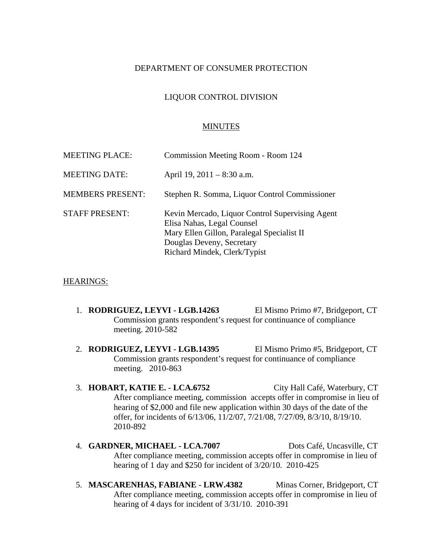# DEPARTMENT OF CONSUMER PROTECTION

## LIQUOR CONTROL DIVISION

#### MINUTES

| <b>MEETING PLACE:</b>   | Commission Meeting Room - Room 124                                                                                                                                                       |
|-------------------------|------------------------------------------------------------------------------------------------------------------------------------------------------------------------------------------|
| <b>MEETING DATE:</b>    | April 19, $2011 - 8:30$ a.m.                                                                                                                                                             |
| <b>MEMBERS PRESENT:</b> | Stephen R. Somma, Liquor Control Commissioner                                                                                                                                            |
| <b>STAFF PRESENT:</b>   | Kevin Mercado, Liquor Control Supervising Agent<br>Elisa Nahas, Legal Counsel<br>Mary Ellen Gillon, Paralegal Specialist II<br>Douglas Deveny, Secretary<br>Richard Mindek, Clerk/Typist |

#### HEARINGS:

- 1. **RODRIGUEZ, LEYVI LGB.14263** El Mismo Primo #7, Bridgeport, CT Commission grants respondent's request for continuance of compliance meeting. 2010-582
- 2. **RODRIGUEZ, LEYVI LGB.14395** El Mismo Primo #5, Bridgeport, CT Commission grants respondent's request for continuance of compliance meeting. 2010-863
- 3. **HOBART, KATIE E. LCA.6752** City Hall Café, Waterbury, CT After compliance meeting, commission accepts offer in compromise in lieu of hearing of \$2,000 and file new application within 30 days of the date of the offer, for incidents of 6/13/06, 11/2/07, 7/21/08, 7/27/09, 8/3/10, 8/19/10. 2010-892
- 4. **GARDNER, MICHAEL LCA.7007** Dots Café, Uncasville, CT After compliance meeting, commission accepts offer in compromise in lieu of hearing of 1 day and \$250 for incident of 3/20/10. 2010-425
- 5. **MASCARENHAS, FABIANE LRW.4382** Minas Corner, Bridgeport, CT After compliance meeting, commission accepts offer in compromise in lieu of hearing of 4 days for incident of 3/31/10. 2010-391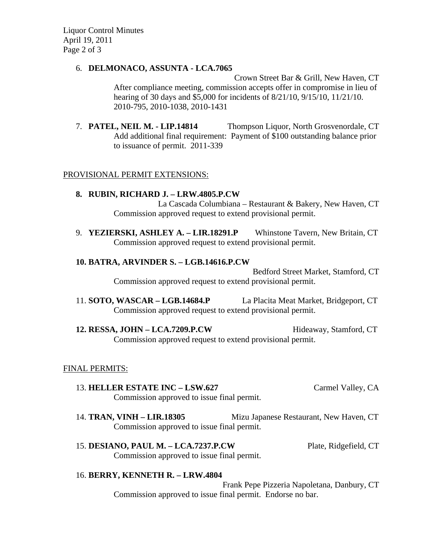Liquor Control Minutes April 19, 2011 Page 2 of 3

#### 6. **DELMONACO, ASSUNTA - LCA.7065**

Crown Street Bar & Grill, New Haven, CT After compliance meeting, commission accepts offer in compromise in lieu of hearing of 30 days and \$5,000 for incidents of 8/21/10, 9/15/10, 11/21/10. 2010-795, 2010-1038, 2010-1431

7. **PATEL, NEIL M. - LIP.14814** Thompson Liquor, North Grosvenordale, CT Add additional final requirement: Payment of \$100 outstanding balance prior to issuance of permit. 2011-339

# PROVISIONAL PERMIT EXTENSIONS:

# **8. RUBIN, RICHARD J. – LRW.4805.P.CW**

La Cascada Columbiana – Restaurant & Bakery, New Haven, CT Commission approved request to extend provisional permit.

9. **YEZIERSKI, ASHLEY A. – LIR.18291.P** Whinstone Tavern, New Britain, CT Commission approved request to extend provisional permit.

#### **10. BATRA, ARVINDER S. – LGB.14616.P.CW**

Bedford Street Market, Stamford, CT Commission approved request to extend provisional permit.

11. **SOTO, WASCAR – LGB.14684.P** La Placita Meat Market, Bridgeport, CT Commission approved request to extend provisional permit.

12. **RESSA, JOHN – LCA.7209.P.CW** Hideaway, Stamford, CT Commission approved request to extend provisional permit.

# FINAL PERMITS:

- 13. **HELLER ESTATE INC LSW.627** Carmel Valley, CA Commission approved to issue final permit.
- 14. **TRAN, VINH LIR.18305** Mizu Japanese Restaurant, New Haven, CT Commission approved to issue final permit.
- 15. **DESIANO, PAUL M. LCA.7237.P.CW** Plate, Ridgefield, CT Commission approved to issue final permit.

# 16. **BERRY, KENNETH R. – LRW.4804**

Frank Pepe Pizzeria Napoletana, Danbury, CT Commission approved to issue final permit. Endorse no bar.